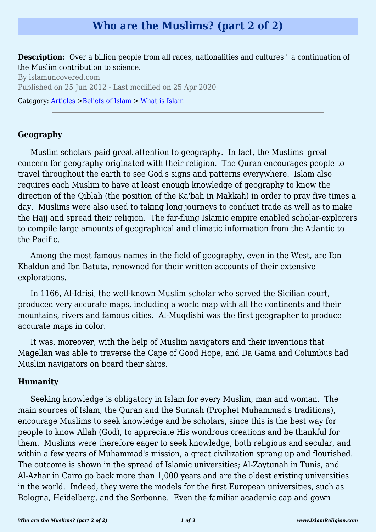# **Who are the Muslims? (part 2 of 2)**

**Description:** Over a billion people from all races, nationalities and cultures " a continuation of the Muslim contribution to science.

By islamuncovered.com Published on 25 Jun 2012 - Last modified on 25 Apr 2020 Category: [Articles](http://www.islamreligion.com/articles/) >[Beliefs of Islam](http://www.islamreligion.com/category/48/) > [What is Islam](http://www.islamreligion.com/category/49/)

#### **Geography**

Muslim scholars paid great attention to geography. In fact, the Muslims' great concern for geography originated with their religion. The Quran encourages people to travel throughout the earth to see God's signs and patterns everywhere. Islam also requires each Muslim to have at least enough knowledge of geography to know the direction of the Qiblah (the position of the Ka'bah in Makkah) in order to pray five times a day. Muslims were also used to taking long journeys to conduct trade as well as to make the Hajj and spread their religion. The far-flung Islamic empire enabled scholar-explorers to compile large amounts of geographical and climatic information from the Atlantic to the Pacific.

Among the most famous names in the field of geography, even in the West, are Ibn Khaldun and Ibn Batuta, renowned for their written accounts of their extensive explorations.

In 1166, Al-Idrisi, the well-known Muslim scholar who served the Sicilian court, produced very accurate maps, including a world map with all the continents and their mountains, rivers and famous cities. Al-Muqdishi was the first geographer to produce accurate maps in color.

It was, moreover, with the help of Muslim navigators and their inventions that Magellan was able to traverse the Cape of Good Hope, and Da Gama and Columbus had Muslim navigators on board their ships.

#### **Humanity**

Seeking knowledge is obligatory in Islam for every Muslim, man and woman. The main sources of Islam, the Quran and the Sunnah (Prophet Muhammad's traditions), encourage Muslims to seek knowledge and be scholars, since this is the best way for people to know Allah (God), to appreciate His wondrous creations and be thankful for them. Muslims were therefore eager to seek knowledge, both religious and secular, and within a few years of Muhammad's mission, a great civilization sprang up and flourished. The outcome is shown in the spread of Islamic universities; Al-Zaytunah in Tunis, and Al-Azhar in Cairo go back more than 1,000 years and are the oldest existing universities in the world. Indeed, they were the models for the first European universities, such as Bologna, Heidelberg, and the Sorbonne. Even the familiar academic cap and gown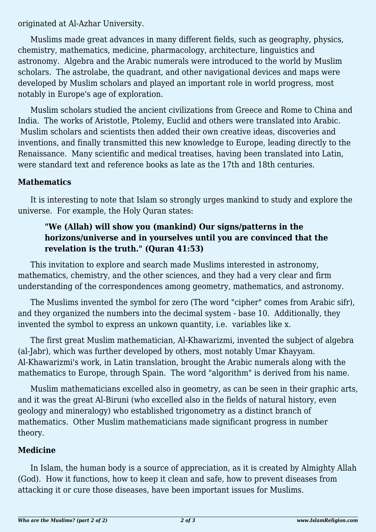originated at Al-Azhar University.

Muslims made great advances in many different fields, such as geography, physics, chemistry, mathematics, medicine, pharmacology, architecture, linguistics and astronomy. Algebra and the Arabic numerals were introduced to the world by Muslim scholars. The astrolabe, the quadrant, and other navigational devices and maps were developed by Muslim scholars and played an important role in world progress, most notably in Europe's age of exploration.

Muslim scholars studied the ancient civilizations from Greece and Rome to China and India. The works of Aristotle, Ptolemy, Euclid and others were translated into Arabic. Muslim scholars and scientists then added their own creative ideas, discoveries and inventions, and finally transmitted this new knowledge to Europe, leading directly to the Renaissance. Many scientific and medical treatises, having been translated into Latin, were standard text and reference books as late as the 17th and 18th centuries.

## **Mathematics**

It is interesting to note that Islam so strongly urges mankind to study and explore the universe. For example, the Holy Quran states:

## **"We (Allah) will show you (mankind) Our signs/patterns in the horizons/universe and in yourselves until you are convinced that the revelation is the truth." (Quran 41:53)**

This invitation to explore and search made Muslims interested in astronomy, mathematics, chemistry, and the other sciences, and they had a very clear and firm understanding of the correspondences among geometry, mathematics, and astronomy.

The Muslims invented the symbol for zero (The word "cipher" comes from Arabic sifr), and they organized the numbers into the decimal system - base 10. Additionally, they invented the symbol to express an unkown quantity, i.e. variables like x.

The first great Muslim mathematician, Al-Khawarizmi, invented the subject of algebra (al-Jabr), which was further developed by others, most notably Umar Khayyam. Al-Khawarizmi's work, in Latin translation, brought the Arabic numerals along with the mathematics to Europe, through Spain. The word "algorithm" is derived from his name.

Muslim mathematicians excelled also in geometry, as can be seen in their graphic arts, and it was the great Al-Biruni (who excelled also in the fields of natural history, even geology and mineralogy) who established trigonometry as a distinct branch of mathematics. Other Muslim mathematicians made significant progress in number theory.

## **Medicine**

In Islam, the human body is a source of appreciation, as it is created by Almighty Allah (God). How it functions, how to keep it clean and safe, how to prevent diseases from attacking it or cure those diseases, have been important issues for Muslims.